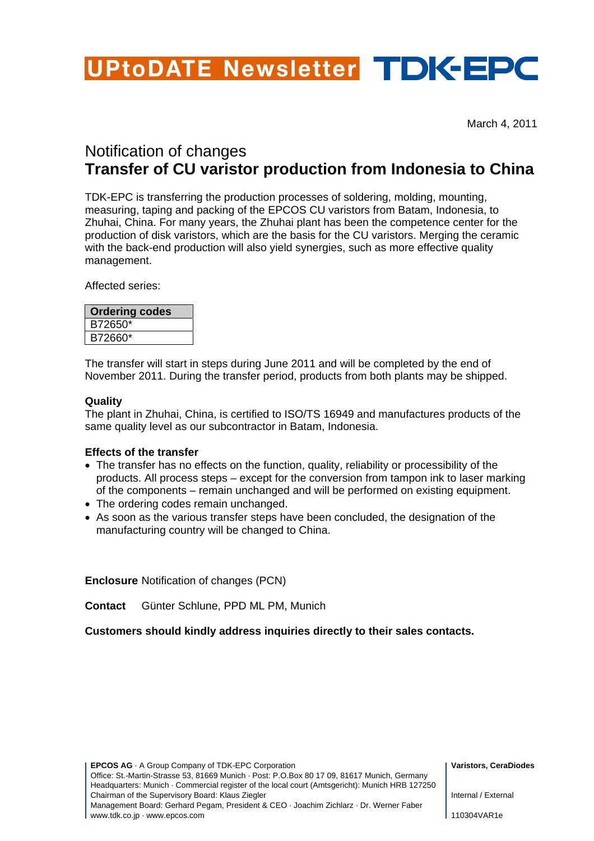# UPtoDATE Newsletter TDK-EPC

March 4, 2011

## Notification of changes **Transfer of CU varistor production from Indonesia to China**

TDK-EPC is transferring the production processes of soldering, molding, mounting, measuring, taping and packing of the EPCOS CU varistors from Batam, Indonesia, to Zhuhai, China. For many years, the Zhuhai plant has been the competence center for the production of disk varistors, which are the basis for the CU varistors. Merging the ceramic with the back-end production will also yield synergies, such as more effective quality management.

Affected series:

| <b>Ordering codes</b> |  |
|-----------------------|--|
| B72650*               |  |
| B72660*               |  |

The transfer will start in steps during June 2011 and will be completed by the end of November 2011. During the transfer period, products from both plants may be shipped.

#### **Quality**

The plant in Zhuhai, China, is certified to ISO/TS 16949 and manufactures products of the same quality level as our subcontractor in Batam, Indonesia.

#### **Effects of the transfer**

- The transfer has no effects on the function, quality, reliability or processibility of the products. All process steps – except for the conversion from tampon ink to laser marking of the components – remain unchanged and will be performed on existing equipment.
- The ordering codes remain unchanged.
- As soon as the various transfer steps have been concluded, the designation of the manufacturing country will be changed to China.

**Enclosure** Notification of changes (PCN)

**Contact** Günter Schlune, PPD ML PM, Munich

**Customers should kindly address inquiries directly to their sales contacts.**

**EPCOS AG** · A Group Company of TDK-EPC Corporation **Varistors, CeraDiodes Varistors, CeraDiodes** Office: St.-Martin-Strasse 53, 81669 Munich · Post: P.O.Box 80 17 09, 81617 Munich, Germany Headquarters: Munich · Commercial register of the local court (Amtsgericht): Munich HRB 127250 Chairman of the Supervisory Board: Klaus Ziegler Management Board: Gerhard Pegam, President & CEO · Joachim Zichlarz · Dr. Werner Faber www.tdk.co.jp · www.epcos.com

Internal / External

110304VAR1e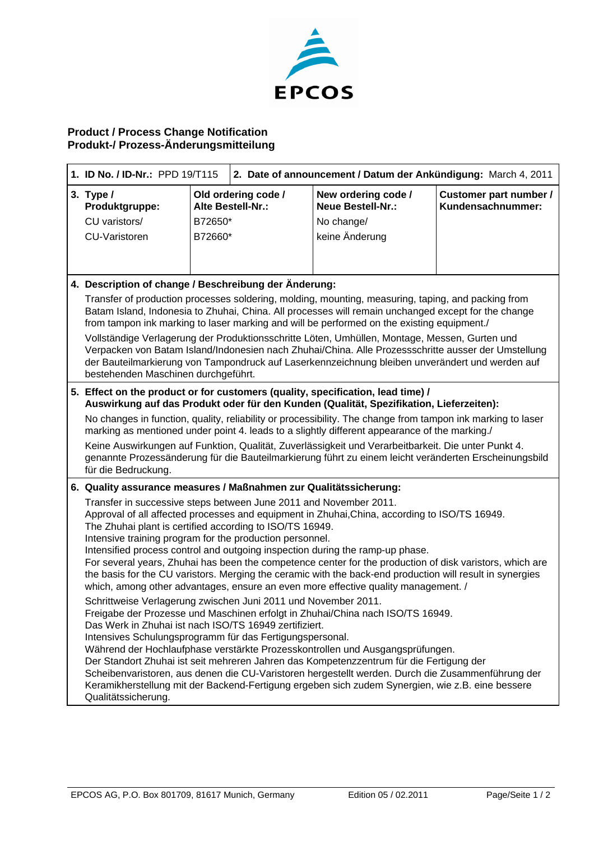

### **Product / Process Change Notification Produkt-/ Prozess-Änderungsmitteilung**

| 1. ID No. / ID-Nr.: PPD 19/T115                                                                                                                                                                                                                                                                                                                                                                                                                                                                                                                                                                                                                                                            |                                                       | 2. Date of announcement / Datum der Ankündigung: March 4, 2011 |                                             |  |
|--------------------------------------------------------------------------------------------------------------------------------------------------------------------------------------------------------------------------------------------------------------------------------------------------------------------------------------------------------------------------------------------------------------------------------------------------------------------------------------------------------------------------------------------------------------------------------------------------------------------------------------------------------------------------------------------|-------------------------------------------------------|----------------------------------------------------------------|---------------------------------------------|--|
| 3. Type $/$<br>Produktgruppe:                                                                                                                                                                                                                                                                                                                                                                                                                                                                                                                                                                                                                                                              | Old ordering code /<br>Alte Bestell-Nr.:              | New ordering code /<br><b>Neue Bestell-Nr.:</b>                | Customer part number /<br>Kundensachnummer: |  |
| CU varistors/                                                                                                                                                                                                                                                                                                                                                                                                                                                                                                                                                                                                                                                                              | B72650*                                               | No change/                                                     |                                             |  |
| <b>CU-Varistoren</b>                                                                                                                                                                                                                                                                                                                                                                                                                                                                                                                                                                                                                                                                       | B72660*                                               | keine Änderung                                                 |                                             |  |
|                                                                                                                                                                                                                                                                                                                                                                                                                                                                                                                                                                                                                                                                                            |                                                       |                                                                |                                             |  |
|                                                                                                                                                                                                                                                                                                                                                                                                                                                                                                                                                                                                                                                                                            | 4. Description of change / Beschreibung der Änderung: |                                                                |                                             |  |
| Transfer of production processes soldering, molding, mounting, measuring, taping, and packing from<br>Batam Island, Indonesia to Zhuhai, China. All processes will remain unchanged except for the change<br>from tampon ink marking to laser marking and will be performed on the existing equipment./<br>Vollständige Verlagerung der Produktionsschritte Löten, Umhüllen, Montage, Messen, Gurten und<br>Verpacken von Batam Island/Indonesien nach Zhuhai/China. Alle Prozessschritte ausser der Umstellung<br>der Bauteilmarkierung von Tampondruck auf Laserkennzeichnung bleiben unverändert und werden auf<br>bestehenden Maschinen durchgeführt.                                  |                                                       |                                                                |                                             |  |
| 5. Effect on the product or for customers (quality, specification, lead time) /<br>Auswirkung auf das Produkt oder für den Kunden (Qualität, Spezifikation, Lieferzeiten):                                                                                                                                                                                                                                                                                                                                                                                                                                                                                                                 |                                                       |                                                                |                                             |  |
| No changes in function, quality, reliability or processibility. The change from tampon ink marking to laser<br>marking as mentioned under point 4. leads to a slightly different appearance of the marking./                                                                                                                                                                                                                                                                                                                                                                                                                                                                               |                                                       |                                                                |                                             |  |
| Keine Auswirkungen auf Funktion, Qualität, Zuverlässigkeit und Verarbeitbarkeit. Die unter Punkt 4.<br>genannte Prozessänderung für die Bauteilmarkierung führt zu einem leicht veränderten Erscheinungsbild<br>für die Bedruckung.                                                                                                                                                                                                                                                                                                                                                                                                                                                        |                                                       |                                                                |                                             |  |
| 6. Quality assurance measures / Maßnahmen zur Qualitätssicherung:                                                                                                                                                                                                                                                                                                                                                                                                                                                                                                                                                                                                                          |                                                       |                                                                |                                             |  |
| Transfer in successive steps between June 2011 and November 2011.<br>Approval of all affected processes and equipment in Zhuhai, China, according to ISO/TS 16949.<br>The Zhuhai plant is certified according to ISO/TS 16949.<br>Intensive training program for the production personnel.<br>Intensified process control and outgoing inspection during the ramp-up phase.<br>For several years, Zhuhai has been the competence center for the production of disk varistors, which are<br>the basis for the CU varistors. Merging the ceramic with the back-end production will result in synergies<br>which, among other advantages, ensure an even more effective quality management. / |                                                       |                                                                |                                             |  |
| Schrittweise Verlagerung zwischen Juni 2011 und November 2011.<br>Freigabe der Prozesse und Maschinen erfolgt in Zhuhai/China nach ISO/TS 16949.<br>Das Werk in Zhuhai ist nach ISO/TS 16949 zertifiziert.<br>Intensives Schulungsprogramm für das Fertigungspersonal.<br>Während der Hochlaufphase verstärkte Prozesskontrollen und Ausgangsprüfungen.<br>Der Standort Zhuhai ist seit mehreren Jahren das Kompetenzzentrum für die Fertigung der<br>Scheibenvaristoren, aus denen die CU-Varistoren hergestellt werden. Durch die Zusammenführung der<br>Keramikherstellung mit der Backend-Fertigung ergeben sich zudem Synergien, wie z.B. eine bessere<br>Qualitätssicherung.         |                                                       |                                                                |                                             |  |